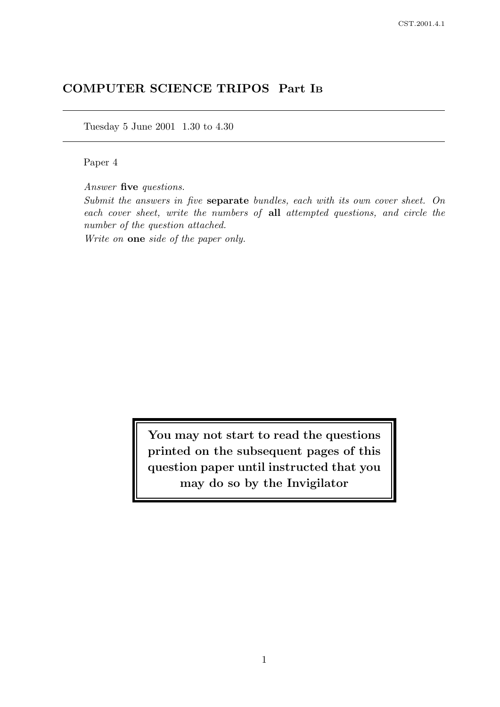# COMPUTER SCIENCE TRIPOS Part I<sup>B</sup>

Tuesday 5 June 2001 1.30 to 4.30

Paper 4

Answer five questions.

Submit the answers in five separate bundles, each with its own cover sheet. On each cover sheet, write the numbers of all attempted questions, and circle the number of the question attached.

Write on one side of the paper only.

You may not start to read the questions printed on the subsequent pages of this question paper until instructed that you may do so by the Invigilator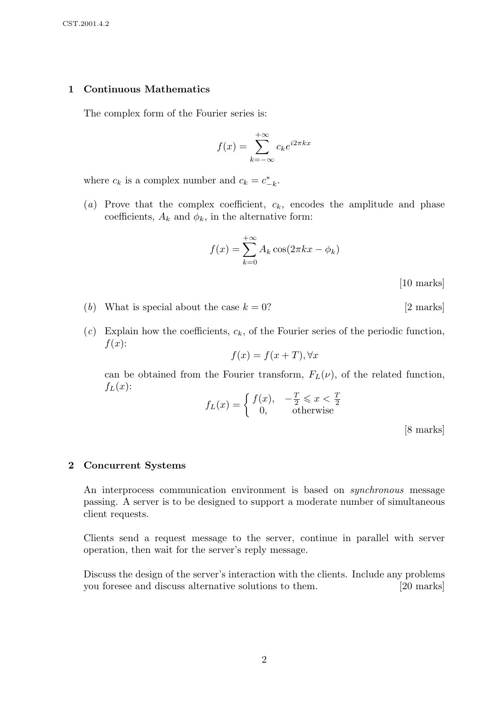#### 1 Continuous Mathematics

The complex form of the Fourier series is:

$$
f(x) = \sum_{k=-\infty}^{+\infty} c_k e^{i2\pi kx}
$$

where  $c_k$  is a complex number and  $c_k = c_{-k}^*$ .

(a) Prove that the complex coefficient,  $c_k$ , encodes the amplitude and phase coefficients,  $A_k$  and  $\phi_k$ , in the alternative form:

$$
f(x) = \sum_{k=0}^{+\infty} A_k \cos(2\pi kx - \phi_k)
$$

[10 marks]

- (b) What is special about the case  $k = 0$ ? [2 marks]
- $(c)$  Explain how the coefficients,  $c_k$ , of the Fourier series of the periodic function,  $f(x)$ :

 $f(x) = f(x+T), \forall x$ 

can be obtained from the Fourier transform,  $F<sub>L</sub>(\nu)$ , of the related function,  $f_L(x)$ :

$$
f_L(x) = \begin{cases} f(x), & -\frac{T}{2} \leq x < \frac{T}{2} \\ 0, & \text{otherwise} \end{cases}
$$

[8 marks]

#### 2 Concurrent Systems

An interprocess communication environment is based on *synchronous* message passing. A server is to be designed to support a moderate number of simultaneous client requests.

Clients send a request message to the server, continue in parallel with server operation, then wait for the server's reply message.

Discuss the design of the server's interaction with the clients. Include any problems you foresee and discuss alternative solutions to them. [20 marks]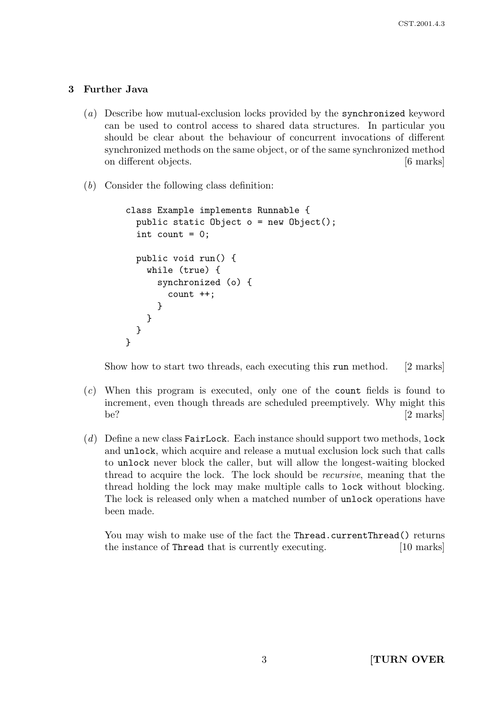### 3 Further Java

- (a) Describe how mutual-exclusion locks provided by the synchronized keyword can be used to control access to shared data structures. In particular you should be clear about the behaviour of concurrent invocations of different synchronized methods on the same object, or of the same synchronized method on different objects. [6 marks]
- (b) Consider the following class definition:

```
class Example implements Runnable {
  public static Object o = new Object();
  int count = 0;
  public void run() {
    while (true) {
      synchronized (o) {
        count ++;
      }
    }
  }
}
```
Show how to start two threads, each executing this run method. [2 marks]

- (c) When this program is executed, only one of the count fields is found to increment, even though threads are scheduled preemptively. Why might this be?  $[2 \text{ marks}]$
- $(d)$  Define a new class FairLock. Each instance should support two methods, lock and unlock, which acquire and release a mutual exclusion lock such that calls to unlock never block the caller, but will allow the longest-waiting blocked thread to acquire the lock. The lock should be recursive, meaning that the thread holding the lock may make multiple calls to lock without blocking. The lock is released only when a matched number of unlock operations have been made.

You may wish to make use of the fact the Thread.currentThread() returns the instance of Thread that is currently executing. [10 marks]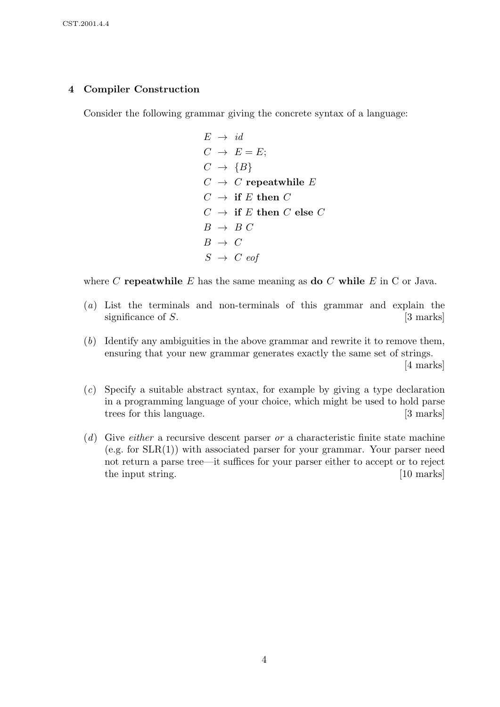#### 4 Compiler Construction

Consider the following grammar giving the concrete syntax of a language:

 $E \rightarrow id$  $C \rightarrow E = E;$  $C \rightarrow \{B\}$  $C \rightarrow C$  repeatwhile E  $C \rightarrow$  if E then C  $C \rightarrow \text{ if } E \text{ then } C \text{ else } C$  $B \rightarrow B C$  $B \rightarrow C$  $S \rightarrow C$  eof

where C repeatwhile E has the same meaning as do C while E in C or Java.

- (a) List the terminals and non-terminals of this grammar and explain the significance of  $S$ . [3 marks]
- (b) Identify any ambiguities in the above grammar and rewrite it to remove them, ensuring that your new grammar generates exactly the same set of strings. [4 marks]
- (c) Specify a suitable abstract syntax, for example by giving a type declaration in a programming language of your choice, which might be used to hold parse trees for this language. [3 marks]
- $(d)$  Give *either* a recursive descent parser *or* a characteristic finite state machine  $(e.g. for SLR(1))$  with associated parser for your grammar. Your parser need not return a parse tree—it suffices for your parser either to accept or to reject the input string. [10 marks]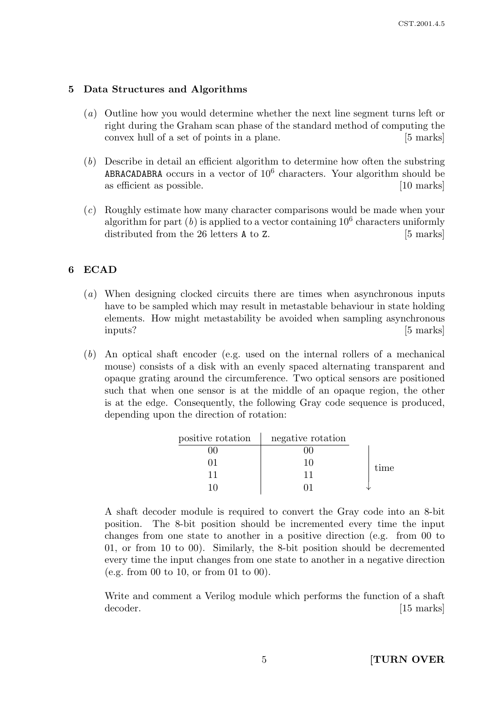#### 5 Data Structures and Algorithms

- (a) Outline how you would determine whether the next line segment turns left or right during the Graham scan phase of the standard method of computing the convex hull of a set of points in a plane. [5 marks]
- (b) Describe in detail an efficient algorithm to determine how often the substring ABRACADABRA occurs in a vector of  $10^6$  characters. Your algorithm should be as efficient as possible. [10 marks]
- (c) Roughly estimate how many character comparisons would be made when your algorithm for part  $(b)$  is applied to a vector containing  $10^6$  characters uniformly distributed from the 26 letters **A** to Z. [5 marks]

## 6 ECAD

- (a) When designing clocked circuits there are times when asynchronous inputs have to be sampled which may result in metastable behaviour in state holding elements. How might metastability be avoided when sampling asynchronous inputs? [5 marks]
- (b) An optical shaft encoder (e.g. used on the internal rollers of a mechanical mouse) consists of a disk with an evenly spaced alternating transparent and opaque grating around the circumference. Two optical sensors are positioned such that when one sensor is at the middle of an opaque region, the other is at the edge. Consequently, the following Gray code sequence is produced, depending upon the direction of rotation:

| positive rotation | negative rotation |      |
|-------------------|-------------------|------|
|                   |                   | time |
|                   |                   |      |
|                   | 11                |      |
|                   |                   |      |

A shaft decoder module is required to convert the Gray code into an 8-bit position. The 8-bit position should be incremented every time the input changes from one state to another in a positive direction (e.g. from 00 to 01, or from 10 to 00). Similarly, the 8-bit position should be decremented every time the input changes from one state to another in a negative direction (e.g. from 00 to 10, or from 01 to 00).

Write and comment a Verilog module which performs the function of a shaft decoder. [15 marks]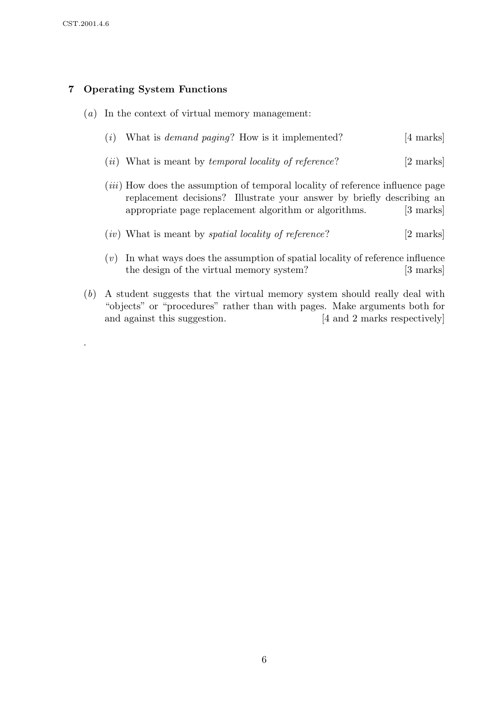.

## 7 Operating System Functions

- (a) In the context of virtual memory management:
	- (i) What is *demand paging*? How is it implemented?  $[4 \text{ marks}]$
	- (*ii*) What is meant by *temporal locality of reference*? [2 marks]
	- (iii) How does the assumption of temporal locality of reference influence page replacement decisions? Illustrate your answer by briefly describing an appropriate page replacement algorithm or algorithms. [3 marks]
	- $(iv)$  What is meant by *spatial locality of reference*? [2 marks]
	- $(v)$  In what ways does the assumption of spatial locality of reference influence the design of the virtual memory system? [3 marks]
- (b) A student suggests that the virtual memory system should really deal with "objects" or "procedures" rather than with pages. Make arguments both for and against this suggestion. [4 and 2 marks respectively]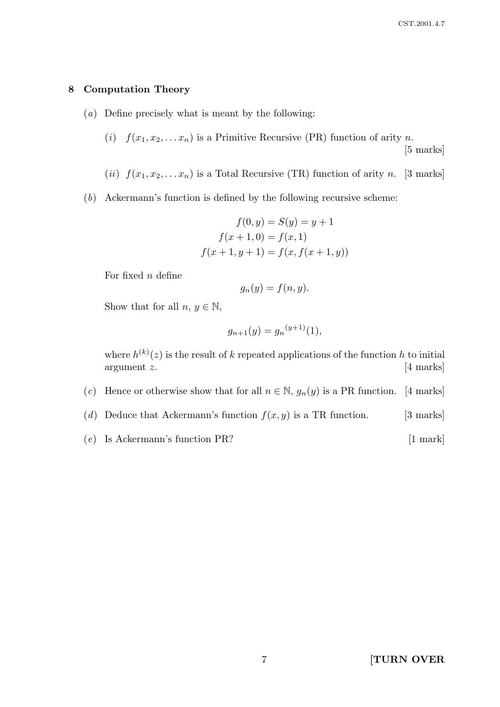#### 8 Computation Theory

- (a) Define precisely what is meant by the following:
	- (i)  $f(x_1, x_2, \ldots, x_n)$  is a Primitive Recursive (PR) function of arity n.

[5 marks]

- (ii)  $f(x_1, x_2, \ldots, x_n)$  is a Total Recursive (TR) function of arity n. [3 marks]
- (b) Ackermann's function is defined by the following recursive scheme:

$$
f(0, y) = S(y) = y + 1
$$
  

$$
f(x + 1, 0) = f(x, 1)
$$
  

$$
f(x + 1, y + 1) = f(x, f(x + 1, y))
$$

For fixed  $n$  define

$$
g_n(y) = f(n, y).
$$

Show that for all  $n, y \in \mathbb{N}$ ,

$$
g_{n+1}(y) = g_n^{(y+1)}(1),
$$

where  $h^{(k)}(z)$  is the result of k repeated applications of the function h to initial argument z. [4 marks]

- (c) Hence or otherwise show that for all  $n \in \mathbb{N}$ ,  $g_n(y)$  is a PR function. [4 marks]
- (d) Deduce that Ackermann's function  $f(x, y)$  is a TR function. [3 marks]
- $(e)$  Is Ackermann's function PR? [1 mark]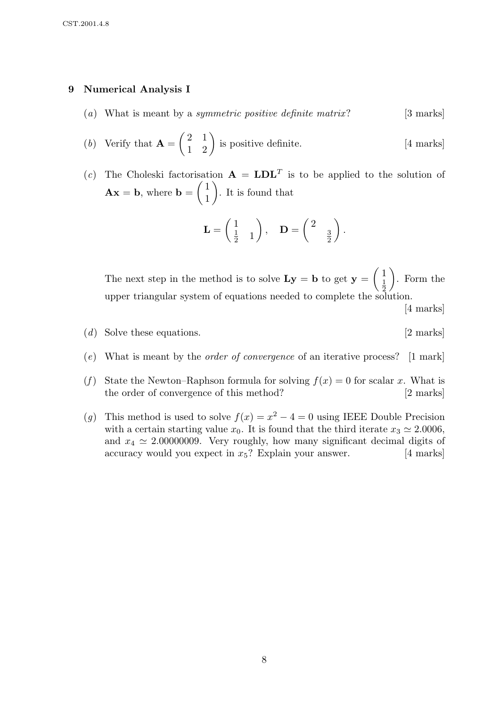#### 9 Numerical Analysis I

- (a) What is meant by a *symmetric positive definite matrix*? [3 marks]
- (b) Verify that  $\mathbf{A} =$  $\begin{pmatrix} 2 & 1 \\ 1 & 2 \end{pmatrix}$  is positive definite. [4 marks]
- (c) The Choleski factorisation  $\mathbf{A} = \mathbf{LDL}^T$  is to be applied to the solution of  $\mathbf{A}\mathbf{x} = \mathbf{b}$ , where  $\mathbf{b} =$  $\sqrt{1}$ 1  $\setminus$ . It is found that

$$
\mathbf{L} = \begin{pmatrix} 1 \\ \frac{1}{2} & 1 \end{pmatrix}, \quad \mathbf{D} = \begin{pmatrix} 2 & \\ & \frac{3}{2} \end{pmatrix}.
$$

The next step in the method is to solve  $Ly = b$  to get  $y =$  $\sqrt{1}$ 1 2  $\setminus$ . Form the upper triangular system of equations needed to complete the solution.

[4 marks]

- (d) Solve these equations. [2 marks]
- (e) What is meant by the order of convergence of an iterative process? [1 mark]
- (f) State the Newton–Raphson formula for solving  $f(x) = 0$  for scalar x. What is the order of convergence of this method? [2 marks]
- (g) This method is used to solve  $f(x) = x^2 4 = 0$  using IEEE Double Precision with a certain starting value  $x_0$ . It is found that the third iterate  $x_3 \approx 2.0006$ , and  $x_4 \simeq 2.00000009$ . Very roughly, how many significant decimal digits of accuracy would you expect in  $x_5$ ? Explain your answer. [4 marks]